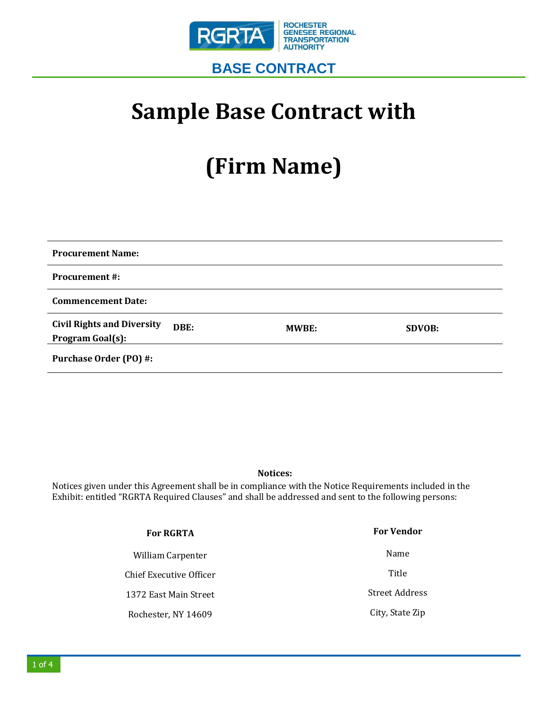

## **Sample Base Contract with**

# **(Firm Name)**

| <b>Procurement Name:</b>                                      |       |               |
|---------------------------------------------------------------|-------|---------------|
| <b>Procurement #:</b>                                         |       |               |
| <b>Commencement Date:</b>                                     |       |               |
| <b>Civil Rights and Diversity</b><br>DBE:<br>Program Goal(s): | MWBE: | <b>SDVOB:</b> |
| <b>Purchase Order (PO) #:</b>                                 |       |               |

#### **Notices:**

Notices given under this Agreement shall be in compliance with the Notice Requirements included in the Exhibit: entitled "RGRTA Required Clauses" and shall be addressed and sent to the following persons:

| <b>For RGRTA</b>        | <b>For Vendor</b> |
|-------------------------|-------------------|
| William Carpenter       | Name              |
| Chief Executive Officer | Title             |
| 1372 East Main Street   | Street Address    |
| Rochester, NY 14609     | City, State Zip   |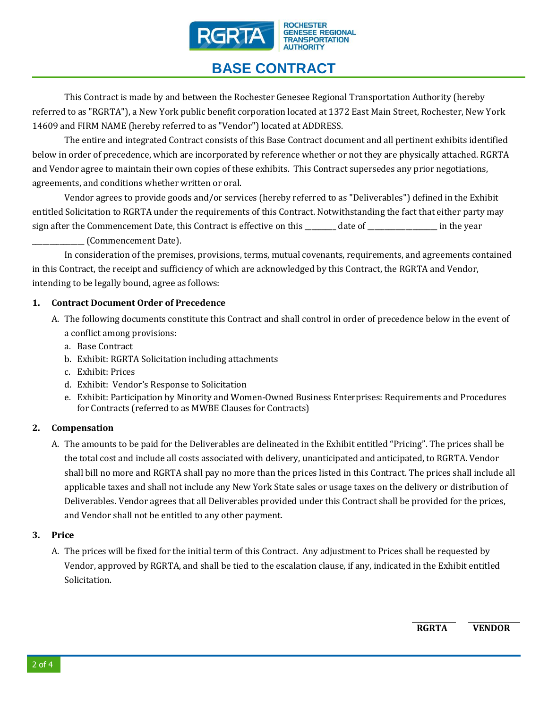

### **BASE CONTRACT**

This Contract is made by and between the Rochester Genesee Regional Transportation Authority (hereby referred to as "RGRTA"), a New York public benefit corporation located at 1372 East Main Street, Rochester, New York 14609 and FIRM NAME (hereby referred to as "Vendor") located at ADDRESS.

The entire and integrated Contract consists of this Base Contract document and all pertinent exhibits identified below in order of precedence, which are incorporated by reference whether or not they are physically attached. RGRTA and Vendor agree to maintain their own copies of these exhibits. This Contract supersedes any prior negotiations, agreements, and conditions whether written or oral.

Vendor agrees to provide goods and/or services (hereby referred to as "Deliverables") defined in the Exhibit entitled Solicitation to RGRTA under the requirements of this Contract. Notwithstanding the fact that either party may sign after the Commencement Date, this Contract is effective on this \_\_\_\_\_\_\_ date of \_\_\_\_\_\_\_\_\_\_\_\_\_\_\_\_\_\_ in the year \_\_\_\_\_\_\_\_\_\_\_\_\_\_\_ (Commencement Date).

In consideration of the premises, provisions, terms, mutual covenants, requirements, and agreements contained in this Contract, the receipt and sufficiency of which are acknowledged by this Contract, the RGRTA and Vendor, intending to be legally bound, agree as follows:

#### **1. Contract Document Order of Precedence**

- A. The following documents constitute this Contract and shall control in order of precedence below in the event of a conflict among provisions:
	- a. Base Contract
	- b. Exhibit: RGRTA Solicitation including attachments
	- c. Exhibit: Prices
	- d. Exhibit: Vendor's Response to Solicitation
	- e. Exhibit: Participation by Minority and Women-Owned Business Enterprises: Requirements and Procedures for Contracts (referred to as MWBE Clauses for Contracts)

#### **2. Compensation**

A. The amounts to be paid for the Deliverables are delineated in the Exhibit entitled "Pricing". The prices shall be the total cost and include all costs associated with delivery, unanticipated and anticipated, to RGRTA. Vendor shall bill no more and RGRTA shall pay no more than the prices listed in this Contract. The prices shall include all applicable taxes and shall not include any New York State sales or usage taxes on the delivery or distribution of Deliverables. Vendor agrees that all Deliverables provided under this Contract shall be provided for the prices, and Vendor shall not be entitled to any other payment.

#### **3. Price**

A. The prices will be fixed for the initial term of this Contract. Any adjustment to Prices shall be requested by Vendor, approved by RGRTA, and shall be tied to the escalation clause, if any, indicated in the Exhibit entitled Solicitation.

**RGRTA VENDOR**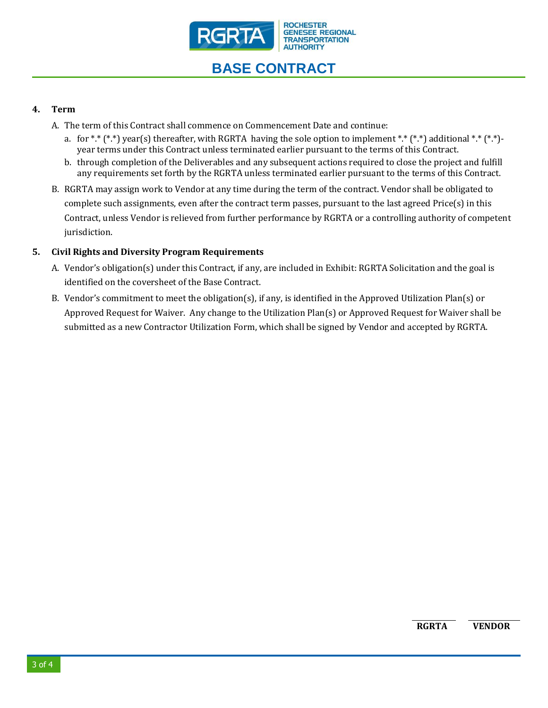

## **BASE CONTRACT**

#### **4. Term**

- A. The term of this Contract shall commence on Commencement Date and continue:
	- a. for \*\*  $(**)$  year(s) thereafter, with RGRTA having the sole option to implement \*.\*  $(**)$  additional \*.\*  $(**)$ year terms under this Contract unless terminated earlier pursuant to the terms of this Contract.
	- b. through completion of the Deliverables and any subsequent actions required to close the project and fulfill any requirements set forth by the RGRTA unless terminated earlier pursuant to the terms of this Contract.
- B. RGRTA may assign work to Vendor at any time during the term of the contract. Vendor shall be obligated to complete such assignments, even after the contract term passes, pursuant to the last agreed Price(s) in this Contract, unless Vendor is relieved from further performance by RGRTA or a controlling authority of competent jurisdiction.

#### **5. Civil Rights and Diversity Program Requirements**

- A. Vendor's obligation(s) under this Contract, if any, are included in Exhibit: RGRTA Solicitation and the goal is identified on the coversheet of the Base Contract.
- B. Vendor's commitment to meet the obligation(s), if any, is identified in the Approved Utilization Plan(s) or Approved Request for Waiver. Any change to the Utilization Plan(s) or Approved Request for Waiver shall be submitted as a new Contractor Utilization Form, which shall be signed by Vendor and accepted by RGRTA.